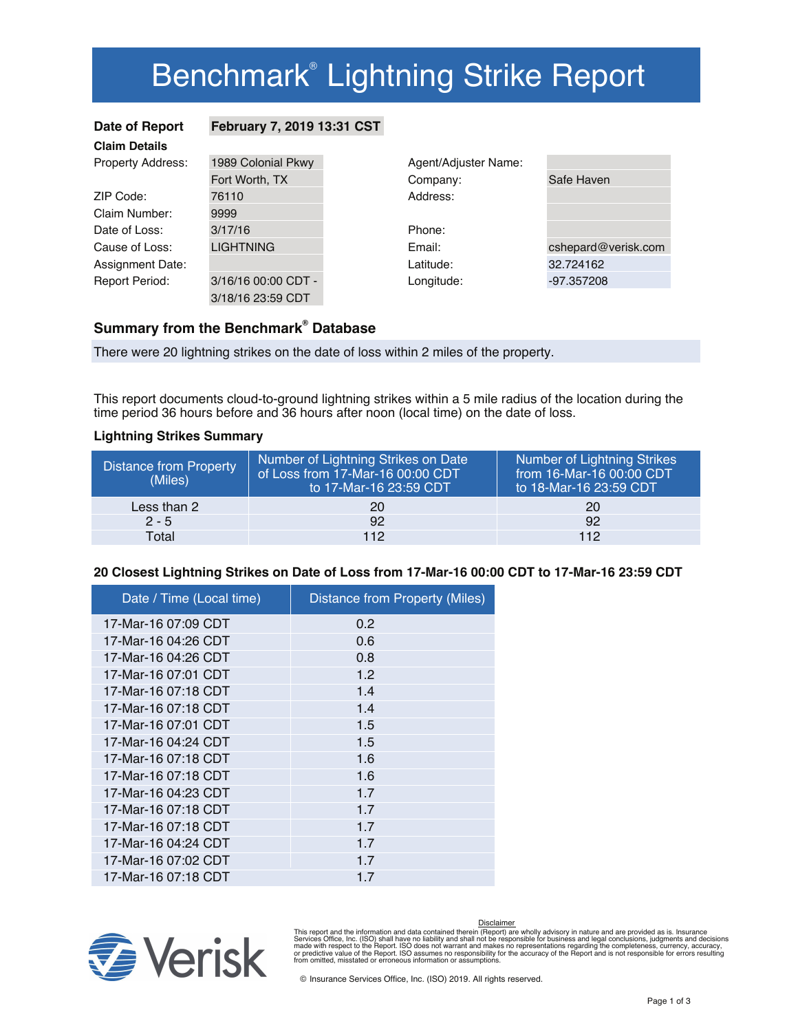# Benchmark<sup>®</sup> Lightning Strike Report

| Date of Report           | February 7, 2019 13:31 CST |                      |            |
|--------------------------|----------------------------|----------------------|------------|
| <b>Claim Details</b>     |                            |                      |            |
| <b>Property Address:</b> | 1989 Colonial Pkwy         | Agent/Adjuster Name: |            |
|                          | Fort Worth, TX             | Company:             | Safe Haver |
| ZIP Code:                | 76110                      | Address:             |            |
| Claim Number:            | 9999                       |                      |            |
| Date of Loss:            | 3/17/16                    | Phone:               |            |
| Cause of Loss:           | <b>LIGHTNING</b>           | Email:               | cshepard@  |
| Assignment Date:         |                            | Latitude:            | 32.724162  |
| <b>Report Period:</b>    | 3/16/16 00:00 CDT -        | Longitude:           | -97.357208 |
|                          | 3/18/16 23:59 CDT          |                      |            |

| Agent/Adjuster Name: |                     |
|----------------------|---------------------|
| Company:             | Safe Haven          |
| Address:             |                     |
|                      |                     |
| Phone:               |                     |
| Email:               | cshepard@verisk.com |
| Latitude:            | 32.724162           |
| Longitude:           | -97.357208          |

## **Summary from the Benchmark<sup>®</sup> Database**

There were 20 lightning strikes on the date of loss within 2 miles of the property.

This report documents cloud-to-ground lightning strikes within a 5 mile radius of the location during the time period 36 hours before and 36 hours after noon (local time) on the date of loss.

#### **Lightning Strikes Summary**

| <b>Distance from Property</b><br>(Miles) | Number of Lightning Strikes on Date<br>of Loss from 17-Mar-16 00:00 CDT<br>to 17-Mar-16 23:59 CDT | Number of Lightning Strikes<br>from 16-Mar-16 00:00 CDT<br>to 18-Mar-16 23:59 CDT |
|------------------------------------------|---------------------------------------------------------------------------------------------------|-----------------------------------------------------------------------------------|
| Less than 2                              | 20                                                                                                | 20                                                                                |
| $2 - 5$                                  | 92                                                                                                | 92                                                                                |
| Total                                    | 112                                                                                               | 112                                                                               |

#### **20 Closest Lightning Strikes on Date of Loss from 17-Mar-16 00:00 CDT to 17-Mar-16 23:59 CDT**

| Date / Time (Local time) | <b>Distance from Property (Miles)</b> |
|--------------------------|---------------------------------------|
| 17-Mar-16 07:09 CDT      | 0.2                                   |
| 17-Mar-16 04:26 CDT      | 0.6                                   |
| 17-Mar-16 04:26 CDT      | 0.8                                   |
| 17-Mar-16 07:01 CDT      | 1.2                                   |
| 17-Mar-16 07:18 CDT      | 1.4                                   |
| 17-Mar-16 07:18 CDT      | 1.4                                   |
| 17-Mar-16 07:01 CDT      | 1.5                                   |
| 17-Mar-16 04:24 CDT      | 1.5                                   |
| 17-Mar-16 07:18 CDT      | 1.6                                   |
| 17-Mar-16 07:18 CDT      | 1.6                                   |
| 17-Mar-16 04:23 CDT      | 1.7                                   |
| 17-Mar-16 07:18 CDT      | 17                                    |
| 17-Mar-16 07:18 CDT      | 17                                    |
| 17-Mar-16 04:24 CDT      | 17                                    |
| 17-Mar-16 07:02 CDT      | 1.7                                   |
| 17-Mar-16 07:18 CDT      | 1.7                                   |



Disclaimer

This report and the information and data contained therein (Report) are wholly advisory in nature and are provided as is. Insurance<br>Services Office, Inc. (ISO) shall have no liability and shall not be responsible for busin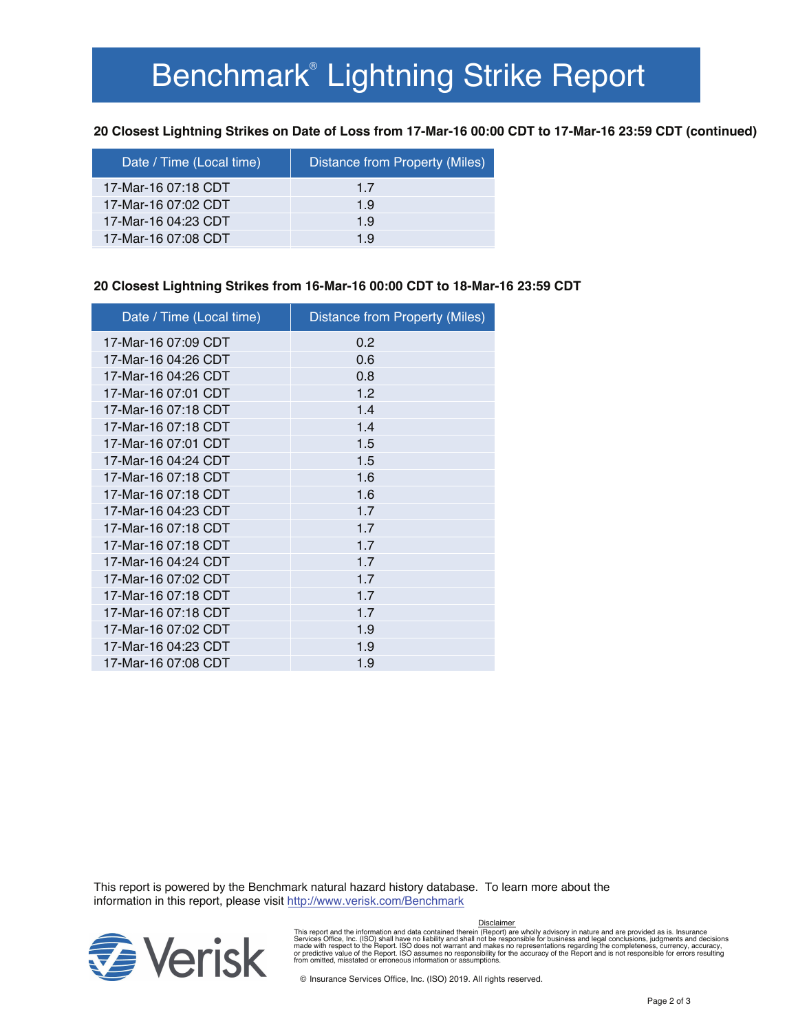# Benchmark<sup>®</sup> Lightning Strike Report

**20 Closest Lightning Strikes on Date of Loss from 17-Mar-16 00:00 CDT to 17-Mar-16 23:59 CDT (continued)**

| Date / Time (Local time) | Distance from Property (Miles) |
|--------------------------|--------------------------------|
| 17-Mar-16 07:18 CDT      | 17                             |
| 17-Mar-16 07:02 CDT      | 1.9                            |
| 17-Mar-16 04:23 CDT      | 1.9                            |
| 17-Mar-16 07:08 CDT      | 19                             |

#### **20 Closest Lightning Strikes from 16-Mar-16 00:00 CDT to 18-Mar-16 23:59 CDT**

| Date / Time (Local time) | Distance from Property (Miles) |
|--------------------------|--------------------------------|
| 17-Mar-16 07:09 CDT      | 0.2                            |
| 17-Mar-16 04:26 CDT      | 0.6                            |
| 17-Mar-16 04:26 CDT      | 0.8                            |
| 17-Mar-16 07:01 CDT      | 1.2                            |
| 17-Mar-16 07:18 CDT      | 1.4                            |
| 17-Mar-16 07:18 CDT      | 1.4                            |
| 17-Mar-16 07:01 CDT      | 1.5                            |
| 17-Mar-16 04:24 CDT      | 1.5                            |
| 17-Mar-16 07:18 CDT      | 1.6                            |
| 17-Mar-16 07:18 CDT      | 1.6                            |
| 17-Mar-16 04:23 CDT      | 1.7                            |
| 17-Mar-16 07:18 CDT      | 1.7                            |
| 17-Mar-16 07:18 CDT      | 1.7                            |
| 17-Mar-16 04:24 CDT      | 1.7                            |
| 17-Mar-16 07:02 CDT      | 1.7                            |
| 17-Mar-16 07:18 CDT      | 1.7                            |
| 17-Mar-16 07:18 CDT      | 1.7                            |
| 17-Mar-16 07:02 CDT      | 1.9                            |
| 17-Mar-16 04:23 CDT      | 1.9                            |
| 17-Mar-16 07:08 CDT      | 1.9                            |

This report is powered by the Benchmark natural hazard history database. To learn more about the information in this report, please visit http://www.verisk.com/Benchmark



This report and the information and data contained therein (Report) are wholly advisory in nature and are provided as is. Insurance<br>Services Office, Inc. (ISO) shall have no liability and shall not be responsible for busin Disclaimer